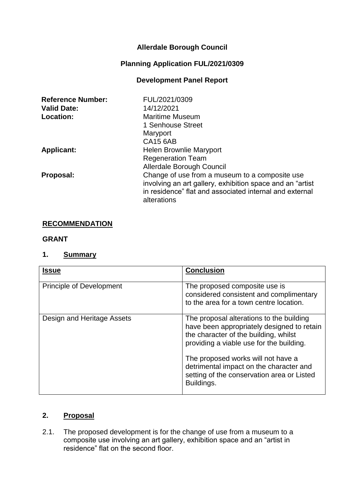# **Allerdale Borough Council**

# **Planning Application FUL/2021/0309**

# **Development Panel Report**

| <b>Reference Number:</b> | FUL/2021/0309                                                                                                                                                                         |
|--------------------------|---------------------------------------------------------------------------------------------------------------------------------------------------------------------------------------|
| <b>Valid Date:</b>       | 14/12/2021                                                                                                                                                                            |
| Location:                | <b>Maritime Museum</b>                                                                                                                                                                |
|                          | 1 Senhouse Street                                                                                                                                                                     |
|                          | Maryport                                                                                                                                                                              |
|                          | <b>CA15 6AB</b>                                                                                                                                                                       |
| <b>Applicant:</b>        | <b>Helen Brownlie Maryport</b>                                                                                                                                                        |
|                          | <b>Regeneration Team</b>                                                                                                                                                              |
|                          | Allerdale Borough Council                                                                                                                                                             |
| Proposal:                | Change of use from a museum to a composite use<br>involving an art gallery, exhibition space and an "artist<br>in residence" flat and associated internal and external<br>alterations |

#### **RECOMMENDATION**

#### **GRANT**

#### **1. Summary**

| <b>Issue</b>                    | <b>Conclusion</b>                                                                                                                                                                                                 |
|---------------------------------|-------------------------------------------------------------------------------------------------------------------------------------------------------------------------------------------------------------------|
| <b>Principle of Development</b> | The proposed composite use is<br>considered consistent and complimentary<br>to the area for a town centre location.                                                                                               |
| Design and Heritage Assets      | The proposal alterations to the building<br>have been appropriately designed to retain<br>the character of the building, whilst<br>providing a viable use for the building.<br>The proposed works will not have a |
|                                 | detrimental impact on the character and<br>setting of the conservation area or Listed<br>Buildings.                                                                                                               |

# **2. Proposal**

2.1. The proposed development is for the change of use from a museum to a composite use involving an art gallery, exhibition space and an "artist in residence" flat on the second floor.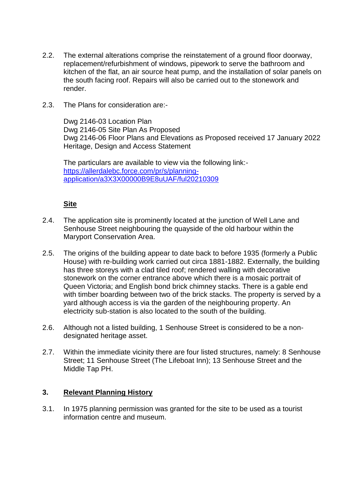- 2.2. The external alterations comprise the reinstatement of a ground floor doorway, replacement/refurbishment of windows, pipework to serve the bathroom and kitchen of the flat, an air source heat pump, and the installation of solar panels on the south facing roof. Repairs will also be carried out to the stonework and render.
- 2.3. The Plans for consideration are:-

Dwg 2146-03 Location Plan Dwg 2146-05 Site Plan As Proposed Dwg 2146-06 Floor Plans and Elevations as Proposed received 17 January 2022 Heritage, Design and Access Statement

The particulars are available to view via the following link: [https://allerdalebc.force.com/pr/s/planning](https://allerdalebc.force.com/pr/s/planning-application/a3X3X00000B9E8uUAF/ful20210309)[application/a3X3X00000B9E8uUAF/ful20210309](https://allerdalebc.force.com/pr/s/planning-application/a3X3X00000B9E8uUAF/ful20210309)

### **Site**

- 2.4. The application site is prominently located at the junction of Well Lane and Senhouse Street neighbouring the quayside of the old harbour within the Maryport Conservation Area.
- 2.5. The origins of the building appear to date back to before 1935 (formerly a Public House) with re-building work carried out circa 1881-1882. Externally, the building has three storeys with a clad tiled roof; rendered walling with decorative stonework on the corner entrance above which there is a mosaic portrait of Queen Victoria; and English bond brick chimney stacks. There is a gable end with timber boarding between two of the brick stacks. The property is served by a yard although access is via the garden of the neighbouring property. An electricity sub-station is also located to the south of the building.
- 2.6. Although not a listed building, 1 Senhouse Street is considered to be a nondesignated heritage asset.
- 2.7. Within the immediate vicinity there are four listed structures, namely: 8 Senhouse Street; 11 Senhouse Street (The Lifeboat Inn); 13 Senhouse Street and the Middle Tap PH.

#### **3. Relevant Planning History**

3.1. In 1975 planning permission was granted for the site to be used as a tourist information centre and museum.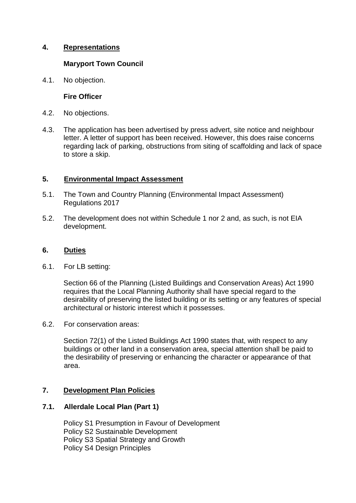### **4. Representations**

### **Maryport Town Council**

4.1. No objection.

### **Fire Officer**

- 4.2. No objections.
- 4.3. The application has been advertised by press advert, site notice and neighbour letter. A letter of support has been received. However, this does raise concerns regarding lack of parking, obstructions from siting of scaffolding and lack of space to store a skip.

### **5. Environmental Impact Assessment**

- 5.1. The Town and Country Planning (Environmental Impact Assessment) Regulations 2017
- 5.2. The development does not within Schedule 1 nor 2 and, as such, is not EIA development.

### **6. Duties**

6.1. For LB setting:

Section 66 of the Planning (Listed Buildings and Conservation Areas) Act 1990 requires that the Local Planning Authority shall have special regard to the desirability of preserving the listed building or its setting or any features of special architectural or historic interest which it possesses.

6.2. For conservation areas:

Section 72(1) of the Listed Buildings Act 1990 states that, with respect to any buildings or other land in a conservation area, special attention shall be paid to the desirability of preserving or enhancing the character or appearance of that area.

#### **7. Development Plan Policies**

#### **7.1. Allerdale Local Plan (Part 1)**

Policy S1 Presumption in Favour of Development Policy S2 Sustainable Development Policy S3 Spatial Strategy and Growth Policy S4 Design Principles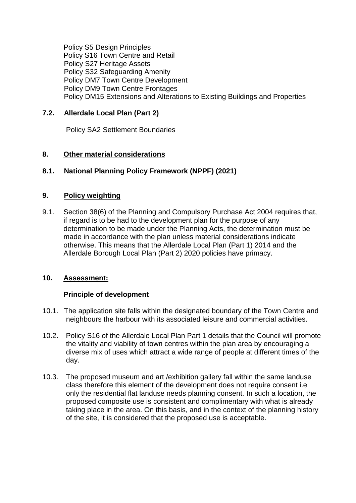Policy S5 Design Principles Policy S16 Town Centre and Retail Policy S27 Heritage Assets Policy S32 Safeguarding Amenity Policy DM7 Town Centre Development Policy DM9 Town Centre Frontages Policy DM15 Extensions and Alterations to Existing Buildings and Properties

# **7.2. Allerdale Local Plan (Part 2)**

Policy SA2 Settlement Boundaries

# **8. Other material considerations**

# **8.1. National Planning Policy Framework (NPPF) (2021)**

# **9. Policy weighting**

9.1. Section 38(6) of the Planning and Compulsory Purchase Act 2004 requires that, if regard is to be had to the development plan for the purpose of any determination to be made under the Planning Acts, the determination must be made in accordance with the plan unless material considerations indicate otherwise. This means that the Allerdale Local Plan (Part 1) 2014 and the Allerdale Borough Local Plan (Part 2) 2020 policies have primacy.

### **10. Assessment:**

#### **Principle of development**

- 10.1. The application site falls within the designated boundary of the Town Centre and neighbours the harbour with its associated leisure and commercial activities.
- 10.2. Policy S16 of the Allerdale Local Plan Part 1 details that the Council will promote the vitality and viability of town centres within the plan area by encouraging a diverse mix of uses which attract a wide range of people at different times of the day.
- 10.3. The proposed museum and art /exhibition gallery fall within the same landuse class therefore this element of the development does not require consent i.e only the residential flat landuse needs planning consent. In such a location, the proposed composite use is consistent and complimentary with what is already taking place in the area. On this basis, and in the context of the planning history of the site, it is considered that the proposed use is acceptable.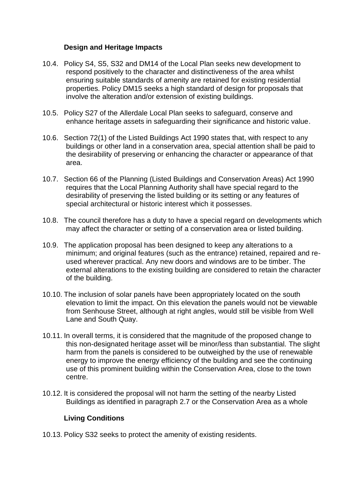### **Design and Heritage Impacts**

- 10.4. Policy S4, S5, S32 and DM14 of the Local Plan seeks new development to respond positively to the character and distinctiveness of the area whilst ensuring suitable standards of amenity are retained for existing residential properties. Policy DM15 seeks a high standard of design for proposals that involve the alteration and/or extension of existing buildings.
- 10.5. Policy S27 of the Allerdale Local Plan seeks to safeguard, conserve and enhance heritage assets in safeguarding their significance and historic value.
- 10.6. Section 72(1) of the Listed Buildings Act 1990 states that, with respect to any buildings or other land in a conservation area, special attention shall be paid to the desirability of preserving or enhancing the character or appearance of that area.
- 10.7. Section 66 of the Planning (Listed Buildings and Conservation Areas) Act 1990 requires that the Local Planning Authority shall have special regard to the desirability of preserving the listed building or its setting or any features of special architectural or historic interest which it possesses.
- 10.8. The council therefore has a duty to have a special regard on developments which may affect the character or setting of a conservation area or listed building.
- 10.9. The application proposal has been designed to keep any alterations to a minimum; and original features (such as the entrance) retained, repaired and reused wherever practical. Any new doors and windows are to be timber. The external alterations to the existing building are considered to retain the character of the building.
- 10.10. The inclusion of solar panels have been appropriately located on the south elevation to limit the impact. On this elevation the panels would not be viewable from Senhouse Street, although at right angles, would still be visible from Well Lane and South Quay.
- 10.11. In overall terms, it is considered that the magnitude of the proposed change to this non-designated heritage asset will be minor/less than substantial. The slight harm from the panels is considered to be outweighed by the use of renewable energy to improve the energy efficiency of the building and see the continuing use of this prominent building within the Conservation Area, close to the town centre.
- 10.12. It is considered the proposal will not harm the setting of the nearby Listed Buildings as identified in paragraph 2.7 or the Conservation Area as a whole

# **Living Conditions**

10.13. Policy S32 seeks to protect the amenity of existing residents.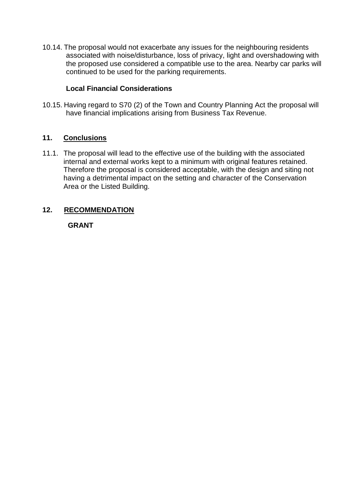10.14. The proposal would not exacerbate any issues for the neighbouring residents associated with noise/disturbance, loss of privacy, light and overshadowing with the proposed use considered a compatible use to the area. Nearby car parks will continued to be used for the parking requirements.

# **Local Financial Considerations**

10.15. Having regard to S70 (2) of the Town and Country Planning Act the proposal will have financial implications arising from Business Tax Revenue.

### **11. Conclusions**

11.1. The proposal will lead to the effective use of the building with the associated internal and external works kept to a minimum with original features retained. Therefore the proposal is considered acceptable, with the design and siting not having a detrimental impact on the setting and character of the Conservation Area or the Listed Building.

# **12. RECOMMENDATION**

#### **GRANT**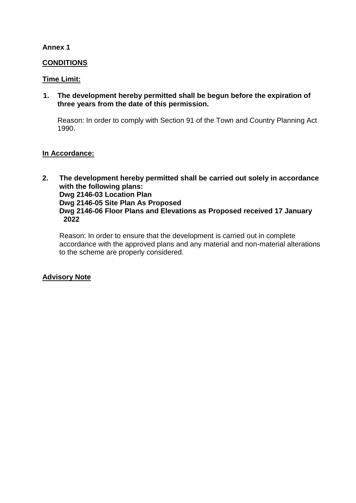### **Annex 1**

### **CONDITIONS**

### **Time Limit:**

**1. The development hereby permitted shall be begun before the expiration of three years from the date of this permission.**

Reason: In order to comply with Section 91 of the Town and Country Planning Act 1990.

#### **In Accordance:**

**2. The development hereby permitted shall be carried out solely in accordance with the following plans: Dwg 2146-03 Location Plan Dwg 2146-05 Site Plan As Proposed Dwg 2146-06 Floor Plans and Elevations as Proposed received 17 January 2022**

Reason: In order to ensure that the development is carried out in complete accordance with the approved plans and any material and non-material alterations to the scheme are properly considered.

# **Advisory Note**